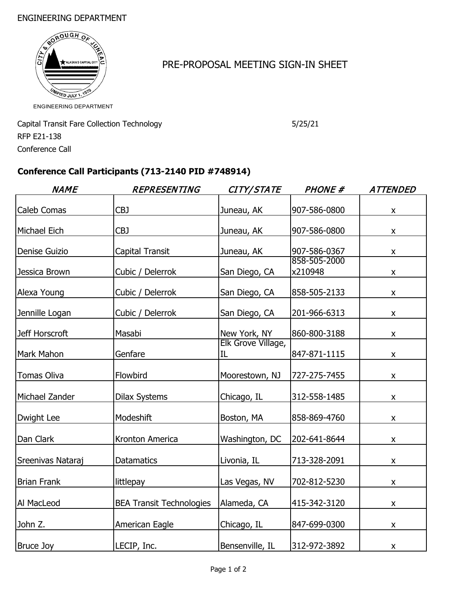#### ENGINEERING DEPARTMENT



## PRE-PROPOSAL MEETING SIGN-IN SHEET

Capital Transit Fare Collection Technology 6725/21 RFP E21-138 Conference Call

## **Conference Call Participants (713-2140 PID #748914)**

| <b>NAME</b>        | <b>REPRESENTING</b>             | CITY/STATE               | <b>PHONE #</b>          | <b>ATTENDED</b>    |
|--------------------|---------------------------------|--------------------------|-------------------------|--------------------|
| Caleb Comas        | CBJ                             | Juneau, AK               | 907-586-0800            | $\pmb{\mathsf{X}}$ |
| Michael Eich       | CBJ                             | Juneau, AK               | 907-586-0800            | X                  |
| Denise Guizio      | Capital Transit                 | Juneau, AK               | 907-586-0367            | X                  |
| Jessica Brown      | Cubic / Delerrok                | San Diego, CA            | 858-505-2000<br>x210948 | $\pmb{\mathsf{X}}$ |
| Alexa Young        | Cubic / Delerrok                | San Diego, CA            | 858-505-2133            | X                  |
| Jennille Logan     | Cubic / Delerrok                | San Diego, CA            | 201-966-6313            | X                  |
| Jeff Horscroft     | Masabi                          | New York, NY             | 860-800-3188            | X                  |
| Mark Mahon         | Genfare                         | Elk Grove Village,<br>IL | 847-871-1115            | $\pmb{\times}$     |
| <b>Tomas Oliva</b> | Flowbird                        | Moorestown, NJ           | 727-275-7455            | $\pmb{\mathsf{X}}$ |
| Michael Zander     | <b>Dilax Systems</b>            | Chicago, IL              | 312-558-1485            | $\pmb{\mathsf{X}}$ |
| Dwight Lee         | Modeshift                       | Boston, MA               | 858-869-4760            | X                  |
| Dan Clark          | Kronton America                 | Washington, DC           | 202-641-8644            | $\pmb{\mathsf{X}}$ |
| Sreenivas Nataraj  | <b>Datamatics</b>               | Livonia, IL              | 713-328-2091            | $\pmb{\times}$     |
| <b>Brian Frank</b> | littlepay                       | Las Vegas, NV            | 702-812-5230            | X                  |
| Al MacLeod         | <b>BEA Transit Technologies</b> | Alameda, CA              | 415-342-3120            | X                  |
| John Z.            | American Eagle                  | Chicago, IL              | 847-699-0300            | $\pmb{\times}$     |
| <b>Bruce Joy</b>   | LECIP, Inc.                     | Bensenville, IL          | 312-972-3892            | X                  |